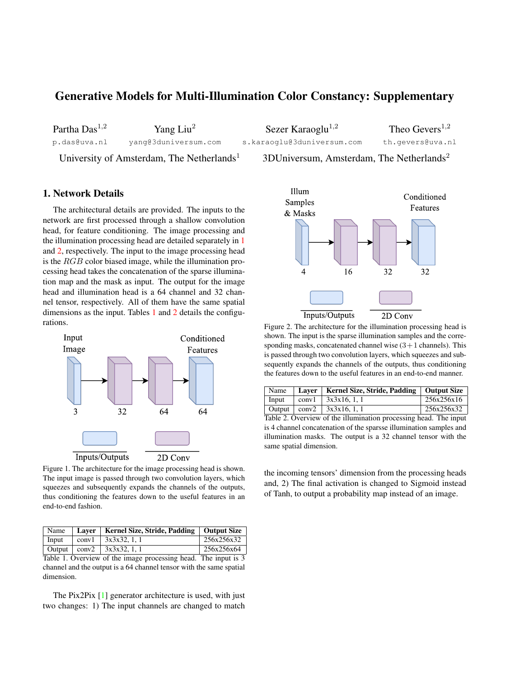## Generative Models for Multi-Illumination Color Constancy: Supplementary

Partha Das $^{1,2}$ 

Yang Liu<sup>2</sup>

Sezer Karaoglu $^{1,2}$ 

Theo  $Gevers<sup>1,2</sup>$ 

p.das@uva.nl yang@3duniversum.com

s.karaoglu@3duniversum.com

th.gevers@uva.nl

University of Amsterdam, The Netherlands<sup>1</sup> 3DUniversum, Amsterdam, The Netherlands<sup>2</sup>

## 1. Network Details

The architectural details are provided. The inputs to the network are first processed through a shallow convolution head, for feature conditioning. The image processing and the illumination processing head are detailed separately in 1 and 2, respectively. The input to the image processing head is the RGB color biased image, while the illumination processing head takes the concatenation of the sparse illumination map and the mask as input. The output for the image head and illumination head is a 64 channel and 32 channel tensor, respectively. All of them have the same spatial dimensions as the input. Tables 1 and 2 details the configurations.



Figure 1. The architecture for the image processing head is shown. The input image is passed through two convolution layers, which squeezes and subsequently expands the channels of the outputs, thus conditioning the features down to the useful features in an end-to-end fashion.

|  | Name   Laver   Kernel Size, Stride, Padding   Output Size |            |
|--|-----------------------------------------------------------|------------|
|  | Input   conv $1$   $3x3x32$ , 1, 1                        | 256x256x32 |
|  | Output   conv2   $3x3x32$ , 1, 1                          | 256x256x64 |

Table 1. Overview of the image processing head. The input is 3 channel and the output is a 64 channel tensor with the same spatial dimension.

The Pix2Pix [1] generator architecture is used, with just two changes: 1) The input channels are changed to match



Figure 2. The architecture for the illumination processing head is shown. The input is the sparse illumination samples and the corresponding masks, concatenated channel wise  $(3+1)$  channels). This is passed through two convolution layers, which squeezes and subsequently expands the channels of the outputs, thus conditioning the features down to the useful features in an end-to-end manner.

| Name  | Laver | Kernel Size, Stride, Padding   Output Size |            |
|-------|-------|--------------------------------------------|------------|
| Input |       | conv1   $3x3x16.1$ .                       | 256x256x16 |
|       |       | Output $\vert$ conv2 $\vert$ 3x3x16, 1, 1  | 256x256x32 |

Table 2. Overview of the illumination processing head. The input is 4 channel concatenation of the sparsse illumination samples and illumination masks. The output is a 32 channel tensor with the same spatial dimension.

the incoming tensors' dimension from the processing heads and, 2) The final activation is changed to Sigmoid instead of Tanh, to output a probability map instead of an image.